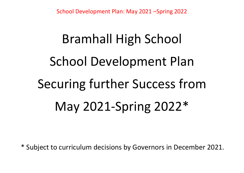# Bramhall High School School Development Plan Securing further Success from May 2021-Spring 2022\*

\* Subject to curriculum decisions by Governors in December 2021.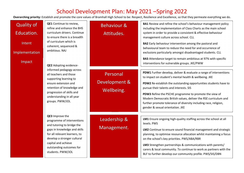| <b>Quality of</b><br>Education.<br>Intent<br><b>Implementation</b> | QE1 Continue to review,<br>refine and enhance the BHS<br>curriculum drivers. Continue<br>to ensure there is a breadth<br>of curriculum which is<br>coherent, sequenced &<br>ambitious. NAJ                                                          | <b>Behaviour &amp;</b><br>Attitudes.    | <b>BA1</b> Review and refine the school's behaviour management policy<br>including the implementation of Class Charts as the main school<br>system in order to provide a consistent & effective behaviour<br>management culture across school. CLL<br><b>BA2</b> Early behaviour intervention among the pastoral and<br>behavioural team to reduce the need for and occurrence of<br>exclusions particularly amongst disadvantaged students. CLL                                |
|--------------------------------------------------------------------|-----------------------------------------------------------------------------------------------------------------------------------------------------------------------------------------------------------------------------------------------------|-----------------------------------------|---------------------------------------------------------------------------------------------------------------------------------------------------------------------------------------------------------------------------------------------------------------------------------------------------------------------------------------------------------------------------------------------------------------------------------------------------------------------------------|
| Impact                                                             | QE2 Adopting evidence-                                                                                                                                                                                                                              |                                         | BA3 Attendance target to remain ambitious at 97% with specific<br>interventions for vulnerable groups. JKE/PWW                                                                                                                                                                                                                                                                                                                                                                  |
|                                                                    | informed pedagogy across<br>all teachers and those<br>supporting learning to<br>ensure extension and<br>retention of knowledge and<br>progression of skills and<br>understanding in all year<br>groups. PWW/JOL                                     | Personal<br>Development &<br>Wellbeing. | PDW1 Further develop, deliver & evaluate a range of interventions<br>to impact on student's mental health & wellbeing. JKE<br>PDW2 Re-establish the outstanding opportunities students have to<br>pursue their talents and interests. SIS<br>PDW3 Refine the PSCHE programme to promote the view of<br>Modern Democratic British values, deliver the RSE curriculum and<br>further promote tolerance of diversity including race, religion,<br>gender & sexual orientation. JKE |
|                                                                    | QE3 Improve the<br>programme of interventions<br>and tutoring to bridge the<br>gaps in knowledge and skills<br>for all relevant learners, to<br>develop a stronger cultural<br>capital and achieve<br>outstanding outcomes for<br>students. PWW/JOL | Leadership &<br>Management.             | LM1 Ensure ongoing high-quality staffing across the school at all<br>levels. PWS<br>LM2 Continue to ensure sound financial management and strategic<br>planning, to optimise resource allocation whilst maintaining a focus<br>on the school's key priorities. PWS/ABA/RBR<br>LM3 Strengthen partnerships & communications with parents/<br>carers & local community. To continue to work as partners with the<br>BLF to further develop our community profile. PWS/SIS/DBN     |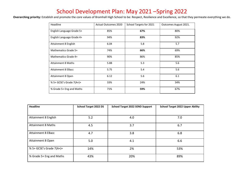| Headline                  | <b>Actual Outcomes 2020</b> | School Targets for 2021 | Outcomes August 2021. |
|---------------------------|-----------------------------|-------------------------|-----------------------|
| English Language Grade 5+ | 85%                         | 67%                     | 80%                   |
| English Language Grade 4+ | 94%                         | 83%                     | 92%                   |
| Attainment 8 English      | 6.04                        | 5.8                     | 5.7                   |
| Mathematics Grade 5+      | 74%                         | 66%                     | 69%                   |
| Mathematics Grade 4+      | 90%                         | 86%                     | 85%                   |
| <b>Attainment 8 Maths</b> | 5.88                        | 5.3                     | 5.6                   |
| <b>Attainment 8 EBacc</b> | 5.75                        | 5.4                     | 5.6                   |
| Attainment 8 Open         | 6.12                        | 5.6                     | 6.1                   |
| % 5+ GCSE's Grade 7(A+)+  | 33%                         | 24%                     | 34%                   |
| % Grade 5+ Eng and Maths  | 71%                         | 59%                     | 67%                   |

| <b>Headline</b>           | <b>School Target 2022 DS</b> | <b>School Target 2022 SEND Support</b> | <b>School Target 2022 Upper Ability</b> |
|---------------------------|------------------------------|----------------------------------------|-----------------------------------------|
|                           |                              |                                        |                                         |
| Attainment 8 English      | 5.2                          | 4.0                                    | 7.0                                     |
| <b>Attainment 8 Maths</b> | 4.5                          | 3.7                                    | 6.7                                     |
| <b>Attainment 8 EBacc</b> | 4.7                          | 3.8                                    | 6.8                                     |
| Attainment 8 Open         | 5.0                          | 4.1                                    | 6.6                                     |
| % 5+ GCSE's Grade 7(A+)+  | 14%                          | 2%                                     | 53%                                     |
| % Grade 5+ Eng and Maths  | 43%                          | 20%                                    | 89%                                     |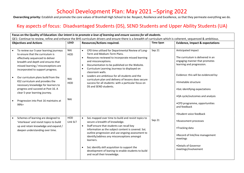Overarching priority: Establish and promote the core values of Bramhall High School to be: Respect, Resilience and Excellence, so that they permeate everything we do.

#### Key aspects of focus: Disadvantaged Students (DS), SEND Students and Upper Ability Students (UA)

| Focus on the Quality of Education: Our intent is to promote a love of learning and ensure success for all students.<br>QE1: Continue to review, refine and enhance the BHS curriculum drivers and ensure there is a breadth of curriculum which is coherent, sequenced & ambitious. |                   |                                                                                                                                                                                                                                                                                                                                                                                                                                                                                        |                  |                                                                                                                                        |  |
|-------------------------------------------------------------------------------------------------------------------------------------------------------------------------------------------------------------------------------------------------------------------------------------|-------------------|----------------------------------------------------------------------------------------------------------------------------------------------------------------------------------------------------------------------------------------------------------------------------------------------------------------------------------------------------------------------------------------------------------------------------------------------------------------------------------------|------------------|----------------------------------------------------------------------------------------------------------------------------------------|--|
| <b>Objectives and Actions</b>                                                                                                                                                                                                                                                       | <b>LEAD</b>       | <b>Resources/Actions required.</b>                                                                                                                                                                                                                                                                                                                                                                                                                                                     | <b>Time Span</b> | <b>Evidence, Impact &amp; expectations</b>                                                                                             |  |
| To review our 5-year learning journeys<br>to ensure that the curriculum is<br>effectively sequenced to deliver<br>breadth and depth and ensures that<br>missed learning / misconceptions are<br>incorporated to support progress.                                                   | <b>NAJ</b><br>HOD | CPD time utilised for Departmental Review of Long-<br>Term and Medium-Term Plans.<br>Resources reviewed to incorporate missed learning<br>$\bullet$<br>and misconceptions.<br>Documentation to be published on the Website.<br>$\bullet$<br>Curriculum Learning Journeys to displayed on<br>$\bullet$<br>classroom walls.                                                                                                                                                              | Sep 21           | Anticipated Impact<br>The curriculum is delivered in an<br>engaging manner that promotes<br>learning and progression.                  |  |
| Our curriculum plans build from the<br>KS2 curriculum and provides the<br>necessary knowledge for learners to<br>progress and succeed at Post 16. A<br>clear 5-year learning journey.                                                                                               | <b>NAJ</b><br>HOD | Leaders are ambitious for all students and the<br>$\bullet$<br>curriculum plan and delivery of lessons does secure<br>success for all students: with a particular focus on<br>DS and SEND students.                                                                                                                                                                                                                                                                                    |                  | Evidence: this will be evidenced by:<br>•timetable structure<br>•SoL identifying expectations<br>•QA cycle/outcomes and analysis       |  |
| Progression into Post 16 maintains at<br>99%+                                                                                                                                                                                                                                       | <b>NAJ</b>        |                                                                                                                                                                                                                                                                                                                                                                                                                                                                                        |                  | •CPD programme, opportunities<br>and feedback<br>•Student voice feedback                                                               |  |
| Schemes of learning are designed to<br>'interleave' and revisit topics to build<br>up and retain knowledge and expand /<br>deepen understanding over time.                                                                                                                          | HOD<br>Link SLT   | SoL mapped over time to build and revisit topics to<br>$\bullet$<br>secure a breadth of knowledge.<br>Staff ensure that students can recall key<br>$\bullet$<br>information as the subject content is covered. SoL<br>outline progression and use ongoing assessment to<br>identify/address any misconceptions amongst<br>learners.<br>SoL identify skill acquisition to support the<br>$\bullet$<br>development of leaning to enable students to build<br>and recall their knowledge. | Sep 21           | •Assessment processes<br>•Tracking data<br>•Record of link/line management<br>meetings<br>•Details of Governor<br>meetings/involvement |  |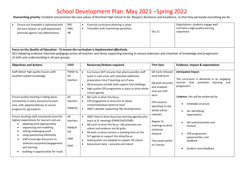| Ensure our timetable is optimised with<br>the best solution of staff deployment<br>balanced against cost-effectiveness.                                                                                                                                                                                                                                                 | <b>NAJ</b><br><b>PWS</b><br>AB                      | Financial curriculum planning in place<br>Timetable built maximising specialists.<br>$\bullet$                                                                                                                                                                                                                                                                                                                                 | <b>Dec 21</b>                                                                                        | Expectations: students engage well<br>and have a high-quality learning<br>experience.                                                                                            |  |
|-------------------------------------------------------------------------------------------------------------------------------------------------------------------------------------------------------------------------------------------------------------------------------------------------------------------------------------------------------------------------|-----------------------------------------------------|--------------------------------------------------------------------------------------------------------------------------------------------------------------------------------------------------------------------------------------------------------------------------------------------------------------------------------------------------------------------------------------------------------------------------------|------------------------------------------------------------------------------------------------------|----------------------------------------------------------------------------------------------------------------------------------------------------------------------------------|--|
| Focus on the Quality of Education: To ensure the curriculum is Implemented effectively.<br>QE2 Adopting evidence-informed pedagogy across all teachers and those supporting learning to ensure extension and retention of knowledge and progression<br>of skills and understanding in all year groups.                                                                  |                                                     |                                                                                                                                                                                                                                                                                                                                                                                                                                |                                                                                                      |                                                                                                                                                                                  |  |
| <b>Objectives and Actions</b>                                                                                                                                                                                                                                                                                                                                           | <b>LEAD</b>                                         | <b>Resources/Actions required.</b>                                                                                                                                                                                                                                                                                                                                                                                             | <b>Time Span</b>                                                                                     | <b>Evidence, Impact &amp; expectations</b>                                                                                                                                       |  |
| Staff deliver high quality lessons with<br>excellent subject knowledge.<br>Ensure quality teaching is taking place,                                                                                                                                                                                                                                                     | PWW/SL<br>All<br>teachers<br>All                    | Curriculum DHT ensures that where possible staff<br>$\bullet$<br>teach in own areas with allocated additional<br>preparation time if teaching out of area.<br>QA processes provide both support and challenge.<br>$\bullet$<br>High quality CPD programme in place to drive whole<br>school agenda.<br>QA cycle to drive this focus.<br>$\bullet$                                                                              | QA Cycle released<br>each half-term.<br>QA grids returned<br>and analysed<br>once per half-<br>term. | <b>Anticipated Impact</b><br>The curriculum is delivered in an engaging<br>that<br>promotes<br>learning<br>manner<br>and<br>progression.<br>Evidence: this will be evidenced by: |  |
| consistently in every lesson/curriculum<br>area, with adapted delivery to secure<br>progress for all students                                                                                                                                                                                                                                                           | teachers<br>PWW/SL                                  | CPD programme to drive this at whole<br>$\bullet$<br>school/individual /external level.<br>INSET calendar supporting T&L developments.<br>$\bullet$                                                                                                                                                                                                                                                                            | <b>CPD</b> sessions<br>identified on the<br>whole school<br>calendar.                                | timetable structure<br>$\bullet$<br>SoL identifying<br>expectations.                                                                                                             |  |
| Ensure teaching staff consistently have the<br>highest expectations for learners and are:<br>adapting work appropriately<br>$\bullet$<br>sequencing and modelling<br>setting challenging work<br>using questioning effectively<br>staff encourage discussion to<br>$\bullet$<br>underpin enjoyment/engagement<br>and learning.<br>building in opportunities for recall. | All<br>teachers<br>PWW/H<br>OD<br><b>CMR</b><br>GHO | INSET time to drive these key learning agendas plus<br>$\bullet$<br>input at SL meetings (PWW/GHO/CMR)<br>QA cycle to drive this focus -QA processes are<br>$\bullet$<br>robust and evidence via QA grids.<br>DS work scrutiny remains a standing item on the<br>$\bullet$<br>SLT agenda to support this drive/focus.<br>Seating plans are adapted to support DS cohort.<br>Assessment data - accurate and robust<br>$\bullet$ | Regular SL<br>meetings to drive<br>initiatives<br>forward.<br>Two assess points<br>on Literacy       | QA cycle/outcomes and<br>analysis<br>CPD programme,<br>opportunities, and<br>feedback<br>Student voice feedback                                                                  |  |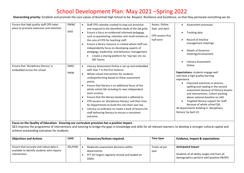Overarching priority: Establish and promote the core values of Bramhall High School to be: Respect, Resilience and Excellence, so that they permeate everything we do.

| Ensure that high quality staff CPD takes<br>place to promote extension and retention | PWW/<br><b>GHO</b> | Staff CPD calendar created to map out provision<br>$\bullet$<br>and respond to the identified needs of the QA grids.<br>Ensure a focus on evidenced informed pedagogy<br>$\bullet$<br>such as questioning, retention and recall remains at<br>the core of CPD for teaching staff.<br>Ensure a library resource is created where staff can<br>independently focus on developing aspects of<br>pedagogy, leadership, and behaviour management.<br>Create a sharing platform for 'top tips' etc via<br>MS Teams.                                                                                                                                       | Assess. Online.<br>Sept. and April.<br><b>CPD</b> session first<br>half-term | Assessment processes<br>Tracking data<br>Record of link/line<br>management meetings<br>Details of Governor<br>meetings/involvement<br><b>Literacy Assessment</b>                                                                                                                                                                                                                                                                      |
|--------------------------------------------------------------------------------------|--------------------|-----------------------------------------------------------------------------------------------------------------------------------------------------------------------------------------------------------------------------------------------------------------------------------------------------------------------------------------------------------------------------------------------------------------------------------------------------------------------------------------------------------------------------------------------------------------------------------------------------------------------------------------------------|------------------------------------------------------------------------------|---------------------------------------------------------------------------------------------------------------------------------------------------------------------------------------------------------------------------------------------------------------------------------------------------------------------------------------------------------------------------------------------------------------------------------------|
| Ensure that 'disciplinary literacy' is<br>embedded across the school.                | EMD/<br><b>PWW</b> | Literacy Assessment Online is set up and embedded<br>$\bullet$<br>with Year 7 in the first instance.<br>Whole school intervention for students<br>$\bullet$<br>underperforming based on these assessment<br>points.<br>Ensure that literacy is an additional focus of the<br>whole school QA including its own independent<br>work scrutiny.<br>Ensure that the literacy bookmark is adhered to.<br>CPD session on 'disciplinary literacy' and then time<br>$\bullet$<br>for Departments to build this into their own SoL.<br>Literacy co-ordinator to create a bank of lessons for<br>staff delivering literacy to ensure a consistent<br>outcome. |                                                                              | Online<br>Expectations: students engage well<br>and have a high-quality learning<br>experience.<br>Improved outcomes in phonics,<br>spelling and reading in the second<br>assessment because of literacy lessons<br>and interventions. Cohort working<br>above national baseline on LAO.<br>Targeted literacy support for staff<br>because of whole school QA.<br>All departments building in 'disciplinary<br>literacy' by April 22. |

Focus on the Quality of Education: Ensuring our curriculum provision has a positive impact.

QE3 Improve the programme of interventions and tutoring to bridge the gaps in knowledge and skills for all relevant learners, to develop a stronger cultural capital and achieve outstanding outcomes for students.

| <b>Objectives and Actions</b>                                                                          | <b>LEAD</b> | <b>Resources/Actions required.</b>                                                                               | <b>Time Span</b>       | <b>Evidence, Impact &amp; expectations</b>                                                                              |
|--------------------------------------------------------------------------------------------------------|-------------|------------------------------------------------------------------------------------------------------------------|------------------------|-------------------------------------------------------------------------------------------------------------------------|
| Ensure that accurate and robust data is<br>available to identify students who require<br>intervention. | JOL/HOD     | Moderate assessment decisions within<br>departments.<br>FFT 20 Targets regularly revised and loaded on<br>SISRA. | Tracks x4 per<br>year. | <b>Anticipated Impact</b><br>Students of all ability ranges and from all<br>demographics perform well (positive P8/SPI) |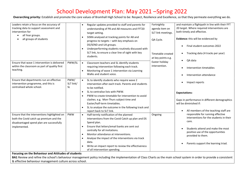Overarching priority: Establish and promote the core values of Bramhall High School to be: Respect, Resilience and Excellence, so that they permeate everything we do.

| Leaders retain a focus on the accuracy of<br>tracking data to support assessment and<br>intervention for<br>all Year groups.<br>$\bullet$<br>all groups of students                                         |                                | Regular updates provided to staff and parents for<br>$\bullet$<br>understanding of P8 and A8 measures and FFT20<br>target setting.<br>SISRA analysed at tracking points for A8 and<br>$\bullet$<br>progress to targets - with key emphasis on<br>DS/SEND and UA groups.<br>Underperforming students routinely discussed with<br>$\bullet$<br>SLT link, to ensure a clear line of sight with key<br>students.                                   | Fortnightly<br>agenda item on<br>SLT link meetings.<br>QA Cycle.<br>Timetable created<br>at key points e.g. | and maintain a flightpath in line with their FFT<br>20 target. Where required interventions are<br>both timely and effective.<br>Evidence: this will be evidenced by<br>Final student outcomes 2022<br>$\bullet$<br>Tracking data (4 tracks per year)<br>$\bullet$<br>QA data<br>$\bullet$ |  |  |
|-------------------------------------------------------------------------------------------------------------------------------------------------------------------------------------------------------------|--------------------------------|------------------------------------------------------------------------------------------------------------------------------------------------------------------------------------------------------------------------------------------------------------------------------------------------------------------------------------------------------------------------------------------------------------------------------------------------|-------------------------------------------------------------------------------------------------------------|--------------------------------------------------------------------------------------------------------------------------------------------------------------------------------------------------------------------------------------------------------------------------------------------|--|--|
| Ensure that wave 1 intervention is delivered<br>within the classroom as part of quality first<br>teaching.                                                                                                  | PWW/SL                         | Classroom teachers and SL identify students<br>$\bullet$<br>requiring intervention following each track.<br>Monitoring of wave 1 intervention via Learning<br>$\bullet$<br>Walks and student voice.                                                                                                                                                                                                                                            | Easter holiday<br>intervention.                                                                             | Intervention timetables<br>$\bullet$<br>Intervention attendance<br>$\bullet$                                                                                                                                                                                                               |  |  |
| Ensure that departments run an effective<br>intervention programme, and this is<br>centralised whole school.                                                                                                | PWW/<br>SLT link/<br><b>SL</b> | SL to identify students who require wave 2<br>$\bullet$<br>intervention after each track. Parents and students<br>to be notified.<br>SL to centralise lists with PWW.<br>$\bullet$<br>PWW to create timetable for intervention to avoid<br>$\bullet$<br>clashes. e.g. Mon-Thurs subject time and<br>Easter/half-term timetables.<br>SL to analyse the outcome in the following track and<br>$\bullet$<br>report back to SLT link.              |                                                                                                             | Impact reports<br>$\bullet$<br><b>Expectations:</b><br>Gaps in performance in different demographics<br>will be diminished if:<br>All members of the teaching staff are<br>$\bullet$                                                                                                       |  |  |
| Ensure that the interventions highlighted on<br>both the Covid catch up premium and the<br>disadvantaged spend plan are successfully<br>implemented.<br>Focusing on the Behaviour and Attitudes of students | PWW                            | Half-termly notification of the planned<br>$\bullet$<br>interventions from the Covid Catch up plan and DS<br>Spend plan.<br>Ensure that letters/email banks are sent out<br>$\bullet$<br>centrally for all invitations.<br>Monitor attendance at interventions.<br>$\bullet$<br>Analyse the impact of the interventions via track<br>$\bullet$<br>data.<br>Write an impact report to review the effectiveness<br>of all intervention spending. | Ongoing                                                                                                     | responsible for running effective<br>interventions for the students in their<br>care.<br>Students attend and make the most<br>positive use of the opportunities<br>provided to them.<br>Parents support the learning triad.<br>$\bullet$                                                   |  |  |
| BA1 Review and refine the school's behaviour management policy including the implementation of Class Charts as the main school system in order to provide a consistent                                      |                                |                                                                                                                                                                                                                                                                                                                                                                                                                                                |                                                                                                             |                                                                                                                                                                                                                                                                                            |  |  |

& effective behaviour management culture across school.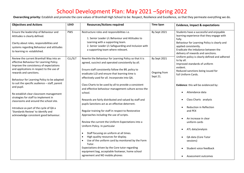| <b>Objectives and Actions</b>                                                                                                                                                                                                                                                                                                                                                                                                                                                                                                                                              | <b>LEAD</b> | <b>Resources/Actions required</b>                                                                                                                                                                                                                                                                                                                                                                                                                                                                                                                                                                                                                                                                                                                                                                                                                                                                                                                                                                                  | <b>Time Span</b>                         | <b>Evidence, Impact &amp; expectations</b>                                                                                                                                                                                                                                                                                                                                                                                                                                                   |
|----------------------------------------------------------------------------------------------------------------------------------------------------------------------------------------------------------------------------------------------------------------------------------------------------------------------------------------------------------------------------------------------------------------------------------------------------------------------------------------------------------------------------------------------------------------------------|-------------|--------------------------------------------------------------------------------------------------------------------------------------------------------------------------------------------------------------------------------------------------------------------------------------------------------------------------------------------------------------------------------------------------------------------------------------------------------------------------------------------------------------------------------------------------------------------------------------------------------------------------------------------------------------------------------------------------------------------------------------------------------------------------------------------------------------------------------------------------------------------------------------------------------------------------------------------------------------------------------------------------------------------|------------------------------------------|----------------------------------------------------------------------------------------------------------------------------------------------------------------------------------------------------------------------------------------------------------------------------------------------------------------------------------------------------------------------------------------------------------------------------------------------------------------------------------------------|
| Ensure the leadership of Behaviour and<br>Attitudes is clearly defined.<br>Clarity about roles, responsibilities and<br>systems regarding Behaviour and attitudes<br>to learning re -established.                                                                                                                                                                                                                                                                                                                                                                          | <b>PWS</b>  | Restructure roles and responsibilities i.e.<br>1. Senior Leader i/c Behaviour and Attitudes to<br>Learning with a supporting team.<br>2. Senior Leader i/c Safeguarding and Inclusion with<br>a supporting team where relevant.                                                                                                                                                                                                                                                                                                                                                                                                                                                                                                                                                                                                                                                                                                                                                                                    | By Sept 2021                             | Students have a successful and enjoyable<br>learning experience that they engage with<br>fully.<br>Behaviour for Learning Policy is clearly and<br>applied consistently.<br>Eradicate the imbalance between the<br>delivery of rewards and sanctions.<br>Uniform policy is clearly defined and adhered                                                                                                                                                                                       |
| Review the current Bramhall Way into an<br>effective Behaviour for Learning Policy.<br>Improve the consistency of expectations<br>and applications in respect to the use of<br>rewards and sanctions.<br>Behaviour for Learning Policy to be adapted<br>to suit the specific audience - staff, parent<br>and pupil.<br>Re-establish clear classroom management<br>strategies for staff to implement in<br>classrooms and around the school site.<br>Introduce as part of the cycle of QA a<br>'Standards Review' to identify and<br>acknowledge consistent good behaviour. | CLL/SLT     | Rewrite the Behaviour for Learning Policy so that it is<br>agreed, succinct and operated consistently by all.<br>Ensure staff consistently follow the BfL policy to<br>eradicate LLD and ensure that learning time is<br>effectively used for all. Incorporate into QA.<br>Class Charts to be used by all to provide a consistent<br>and effective behaviour management culture across the<br>school.<br>Rewards are fairly distributed and valued by staff and<br>pupils Sanctions act as an effective deterrent.<br>Regular training for staff in respect to Restorative<br>Approaches including the use of scripts.<br>Review the current the Uniform Expectations into a<br>Uniform Policy. In particular<br>Staff focusing on uniform at all times.<br>$\bullet$<br>High quality resources for display.<br>Use of the uniform card by monitored by the Form<br>Tutor.<br>Expectations driven by the Core tutor regarding<br>equipment bag, acceptable footwear, home school<br>agreement and NO mobile phones | By Sept 2021<br>Ongoing from<br>Sept 21. | to by all.<br>Improved standards of uniform<br>evident.<br>Reduced sanctions being issued for<br>full Uniform Cards.<br>Evidence: this will be evidenced by:<br>Attendance data<br>$\bullet$<br>Class Charts analysis<br>$\bullet$<br>Reduction in Reflection<br>$\bullet$<br>and PEX<br>An increase in clear<br>$\bullet$<br>uniform cards<br>ATL data/analysis<br>$\bullet$<br>QA data (Core Tutor<br>$\bullet$<br>sessions)<br>Student voice feedback<br>$\bullet$<br>Assessment outcomes |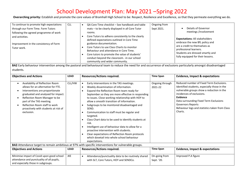Overarching priority: Establish and promote the core values of Bramhall High School to be: Respect, Resilience and Excellence, so that they permeate everything we do.

| To continue to promote high expectations<br>through our Form Time. Form Tutors<br>following the agreed programme of work                          | <b>CLL</b> | QA Core Time checklist - See handbook and table<br>mats - to be clearly displayed in all Core Tutor<br>rooms.                                                                                                                                                                                                                                          | Ongoing from<br>Sept 2021. | Details of Governor<br>meetings /involvement                                                                                                                                                                |  |
|---------------------------------------------------------------------------------------------------------------------------------------------------|------------|--------------------------------------------------------------------------------------------------------------------------------------------------------------------------------------------------------------------------------------------------------------------------------------------------------------------------------------------------------|----------------------------|-------------------------------------------------------------------------------------------------------------------------------------------------------------------------------------------------------------|--|
| and activities.<br>Improvement in the consistency of Form<br>Tutor work.                                                                          |            | Core Tutors to adhere consistently to the clearly<br>defined expectations outlined in Core Time<br>guidance documentation.<br>Core Tutors to use Class Charts to monitor<br>Behaviour and attendance in Core Time.<br>Core tutors to promote the value of students'<br>conduct beyond the classroom. - in our school<br>community and wider community. |                            | <b>Expectations: All stakeholders</b><br>embrace the new BfL policy and<br>are a credit to themselves as<br>professional learners.<br>Students are dressed smartly and<br>fully equipped for their lessons. |  |
| <b>BAR E</b> althological contracts and the contracts of the contracts of the contracts of the contracts at the logical contracts of contracts of |            |                                                                                                                                                                                                                                                                                                                                                        |                            |                                                                                                                                                                                                             |  |

BA2 Early behaviour intervention among the pastoral and behavioural team to reduce the need for and occurrence of exclusions particularly amongst disadvantaged students.

| <b>Objectives and Actions</b>                                                                                                                                                                                                                                                                                                | <b>LEAD</b> | <b>Resources/Actions required.</b>                                                                                                                                                                                                                                                                                                                                                                                                                                                                                                                                                                                                                                                                                                                                                 | <b>Time Span</b>            | <b>Evidence, Impact &amp; expectations</b>                                                                                                                                                                                                                                                                        |
|------------------------------------------------------------------------------------------------------------------------------------------------------------------------------------------------------------------------------------------------------------------------------------------------------------------------------|-------------|------------------------------------------------------------------------------------------------------------------------------------------------------------------------------------------------------------------------------------------------------------------------------------------------------------------------------------------------------------------------------------------------------------------------------------------------------------------------------------------------------------------------------------------------------------------------------------------------------------------------------------------------------------------------------------------------------------------------------------------------------------------------------------|-----------------------------|-------------------------------------------------------------------------------------------------------------------------------------------------------------------------------------------------------------------------------------------------------------------------------------------------------------------|
| Availability of Reflection Room<br>$\bullet$<br>allows for an alternative for FTE.<br>Interventions are proportionate<br>graduated and analysed for impact.<br>Reflection Room Manager to be<br>part of the TAS meeting.<br>Reflection Room staff to work<br>$\bullet$<br>proactively with students at risk of<br>exclusion. | CLL/HW      | Early interventions in the TAS meetings.<br>$\bullet$<br>Weekly dissemination of information.<br>$\bullet$<br>Expand the Reflection Room team ready for<br>$\bullet$<br>September so they are more effective in responding<br>to issues. Close working relationship with HOY to<br>allow a smooth transition of information.<br>Subgroups to be monitored disadvantaged and<br>$\bullet$<br>SEND.<br>Communication to staff must be regular and<br>$\bullet$<br>targeted.<br>Class Chart data to be used to identify students at<br>$\bullet$<br>risk.<br>Intelligent use of behaviour data to allow for a<br>proactive intervention with students.<br>Clear expectations of Reflection Room protocols<br>$\bullet$<br>which dovetail into whole school behaviour<br>expectations. | Ongoing through<br>2021-22  | Reduced number of Fixed Term Exclusions.<br>Identified students, especially those in the<br>vulnerable groups show a reduction in the<br>incidences of exclusions.<br>Evidence<br>Data surrounding Fixed Term Exclusions<br><b>Governors Reports</b><br>Behaviour logs and statistics taken from Class<br>Charts. |
|                                                                                                                                                                                                                                                                                                                              |             | <b>BA3</b> Attendance target to remain ambitious at 97% with specific interventions for vulnerable groups.                                                                                                                                                                                                                                                                                                                                                                                                                                                                                                                                                                                                                                                                         |                             |                                                                                                                                                                                                                                                                                                                   |
| <b>Objectives and Actions</b>                                                                                                                                                                                                                                                                                                | <b>LEAD</b> | <b>Resources/Actions required.</b>                                                                                                                                                                                                                                                                                                                                                                                                                                                                                                                                                                                                                                                                                                                                                 | <b>Time Span</b>            | <b>Evidence, Impact &amp; expectations</b>                                                                                                                                                                                                                                                                        |
| Minimise impact of Covid upon good school<br>attendance and punctuality of all pupils,<br>and especially those in subgroups.                                                                                                                                                                                                 | <b>JKE</b>  | Attendance/punctuality data to be routinely shared<br>$\bullet$<br>with SLT, Core Tutors, HOY and SENDCo.                                                                                                                                                                                                                                                                                                                                                                                                                                                                                                                                                                                                                                                                          | On-going from<br>Sept. '20. | Improved P.A figure                                                                                                                                                                                                                                                                                               |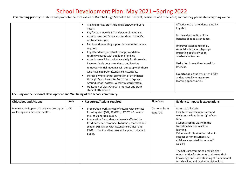| Focusing on the Personal Development and Wellbeing of the school community.   |             | Training for key staff including SENDCo and Core<br>$\bullet$<br>Tutors.<br>Key focus in weekly SLT and pastoral meetings.<br>$\bullet$<br>Attendance-specific rewards fund set to specific,<br>achievable targets.<br>Family and parenting support implemented where<br>required.<br>Key attendance/punctuality targets and data<br>routinely shared with pupils and families.<br>Attendance will be tracked carefully for those who<br>have routinely poor attendance and barriers<br>removed - initial meetings will be set up with those<br>who have had poor attendance historically.<br>Increase whole school promotion of attendance<br>$\bullet$<br>through: School website, Form room displays.<br>Around school posters. Weekly reward system.<br>Utilisation of Class Charts to monitor and track<br>student attendance. |                             | Effective use of attendance data by<br>key staff.<br>Increased promotion of the<br>benefits of good attendance.<br>Improved attendance of all,<br>especially those in subgroups<br>impacting positively upon<br>academic outcomes.<br>Reduction in sanctions issued for<br>lateness.<br><b>Expectations: Students attend fully</b><br>and punctually to maximise<br>learning opportunities.                                                                                                   |
|-------------------------------------------------------------------------------|-------------|-------------------------------------------------------------------------------------------------------------------------------------------------------------------------------------------------------------------------------------------------------------------------------------------------------------------------------------------------------------------------------------------------------------------------------------------------------------------------------------------------------------------------------------------------------------------------------------------------------------------------------------------------------------------------------------------------------------------------------------------------------------------------------------------------------------------------------------|-----------------------------|-----------------------------------------------------------------------------------------------------------------------------------------------------------------------------------------------------------------------------------------------------------------------------------------------------------------------------------------------------------------------------------------------------------------------------------------------------------------------------------------------|
| <b>Objectives and Actions</b>                                                 | <b>LEAD</b> | • Resources/Actions required.                                                                                                                                                                                                                                                                                                                                                                                                                                                                                                                                                                                                                                                                                                                                                                                                       | <b>Time Span</b>            | <b>Evidence, Impact &amp; expectations</b>                                                                                                                                                                                                                                                                                                                                                                                                                                                    |
| Minimise the impact of Covid closures upon<br>wellbeing and emotional health. | JKE         | Preparation works ahead of return, with contact<br>from key staff (DSL, SENDCo, LAT DT, YC mentor<br>etc.) to vulnerable pupils.<br>Preparation for students adversely affected by<br>COVID absence reconnect to friends, teachers and<br>school. DSL liaison with Attendance Officer and<br>EWO to monitor all returns and support reluctant<br>pupils.                                                                                                                                                                                                                                                                                                                                                                                                                                                                            | On-going from<br>Sept. '20. | Return of all pupils<br>Facilitated conversations around<br>wellness evident during QA of core<br>time.<br>Students coping well with the<br>transition back to in-school<br>learning.<br>Evidence of robust action taken in<br>respect of non-returnees. All<br>children accounted for, non 'off<br>rolled')<br>The SKFL programme to provide clear<br>opportunities for students to develop their<br>knowledge and understanding of fundamental<br>British values and enables individuals to |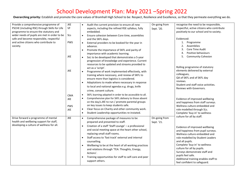| Provide a comprehensive programme of          | <b>JKE</b> | Audit the current provision to ensure all new<br>$\bullet$           | On-going from | recognise the need to be responsible,                              |
|-----------------------------------------------|------------|----------------------------------------------------------------------|---------------|--------------------------------------------------------------------|
| PSCHE (including RSE) through Skills for Life | VF         | aspects, including the refined RSE syllabus, fully                   | Sept. '20.    | respectful, active citizens who contribute                         |
| programme to ensure the statutory and         |            | embedded.                                                            |               | positively to our school and to society.                           |
| wider needs of pupils are met in order to be  | SLs        | Ensure cohesion between Core time, assemblies<br>$\bullet$           |               |                                                                    |
| safe and become responsible, respectful       |            | and the SKFL days.                                                   |               | Evidenced:                                                         |
| and active citizens who contribute to         | <b>PWS</b> | External providers to be booked for the year in<br>$\bullet$         |               | 1.<br>Programme                                                    |
| society.                                      |            | advance.                                                             |               | Assemblies<br>2.                                                   |
|                                               |            | Promote the importance of SKFL and parity of<br>$\bullet$            |               | Core Time Audit<br>3.                                              |
|                                               |            | importance with academic learning.                                   |               | Positive behaviours<br>4.                                          |
|                                               | JKE        | SoL to be developed that demonstrates a 5-year<br>$\bullet$          |               | <b>Community Cohesion</b><br>5.                                    |
|                                               |            | progression of knowledge and experience. Current                     |               |                                                                    |
|                                               |            | resources to be updated and streams provided to                      |               |                                                                    |
|                                               |            | act as a 'script'.                                                   |               | Rolling programme of statutory                                     |
|                                               | <b>JKE</b> | Programme of work implemented effectively, with<br>$\bullet$         |               | elements delivered by external                                     |
|                                               |            | training where necessary, and review of SKFL to                      |               | colleagues,                                                        |
|                                               |            | ensure more than logistics is considered.                            |               | QA of SKFL and of SKFL day                                         |
|                                               |            | Adaptations to made where necessary in response<br>$\bullet$         |               | reviews.                                                           |
|                                               |            | to local and national agendas e.g. drugs, knife                      |               | Student and staff voice activities.                                |
|                                               |            | crime, consent culture.                                              |               | Reviews with Governors.                                            |
|                                               |            | SKFL learning adapted in order to be accessible to all.<br>$\bullet$ |               |                                                                    |
|                                               | <b>CMA</b> | Comprehensive plan for SKFL delivery to those absent<br>$\bullet$    |               |                                                                    |
|                                               | JKE        | on the day/s.JKE to run / promote parental groups                    |               | Evidence of improved wellbeing                                     |
|                                               |            | on key issues to keep students safe.                                 |               | and happiness from staff surveys.<br>Wellness culture embedded and |
|                                               | <b>PWS</b> | Clear focus on Charity and other community work.<br>$\bullet$        |               |                                                                    |
|                                               | <b>JKE</b> | Student Leadership opportunities re-instated.<br>$\bullet$           |               | role modelled through SLs.                                         |
|                                               |            |                                                                      |               | Complete 'buy-in' to wellness<br>culture for all by staff.         |
| Drive forward a programme of mental           | JKE        | Comprehensive package of measures to be<br>$\bullet$                 | On-going from |                                                                    |
| health and wellbeing support for staff,       |            | prepared and presented to staff.                                     | Sept. '21.    |                                                                    |
| developing a culture of wellness for all.     |            | Creation of a staff 'Staff Lounge' - a professional<br>$\bullet$     |               | Evidence of improved wellbeing                                     |
|                                               |            | and social meeting space at the heart other school,                  |               | and happiness from pupil surveys.                                  |
|                                               |            | replacing small staff rooms.                                         |               | Wellness culture embedded and                                      |
|                                               |            | Staff access to 'fast track' external and internal<br>$\bullet$      |               | role modelled by Student Leaders                                   |
|                                               |            | counselling.                                                         |               | and all pupils.                                                    |
|                                               |            | Wellbeing to be at the heart of all working practices<br>$\bullet$   |               | Complete 'buy-in' to wellness                                      |
|                                               |            |                                                                      |               | culture for all by pupils.                                         |
|                                               |            | and relations through 'TEA: Thoughts, Energy,                        |               | Surveys demonstrate staff and                                      |
|                                               |            | Actions'.                                                            |               | pupils feel safe.                                                  |
|                                               |            | Training opportunities for staff to self-care and peer<br>$\bullet$  |               | Additional training enables staff to                               |
|                                               |            | support others.                                                      |               | feel confident to safeguard.                                       |
|                                               |            |                                                                      |               |                                                                    |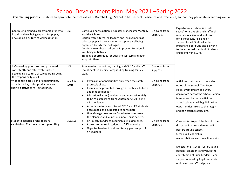| Continue to embed a programme of mental<br>health and wellbeing support for pupils,<br>developing a culture of wellness for all.                           | <b>JKE</b>         | Continued participation in Greater Manchester Mentally<br>Healthy Schools.<br>Liaison with external colleagues and involvements of<br>selected pupils in programmes to support wellbeing<br>organised by external colleagues.<br>Continue to embed Stockport's Improving Emotional<br>Wellbeing initiatives.<br>Training opportunities for pupils to self-care and peer<br>support others.                                                                                                                                            | On-going from<br>Sept. '21. | Expectations: School is a 'safe<br>space' for all. Pupils and staff feel<br>mentally resilient and feel cared<br>for. School culture is one of<br>support for all. Staff value the<br>importance of PSCHE and deliver it<br>to the expected standard. Students<br>engage fully in PSCHE.                                                                              |
|------------------------------------------------------------------------------------------------------------------------------------------------------------|--------------------|---------------------------------------------------------------------------------------------------------------------------------------------------------------------------------------------------------------------------------------------------------------------------------------------------------------------------------------------------------------------------------------------------------------------------------------------------------------------------------------------------------------------------------------|-----------------------------|-----------------------------------------------------------------------------------------------------------------------------------------------------------------------------------------------------------------------------------------------------------------------------------------------------------------------------------------------------------------------|
| Safeguarding prioritised and promoted<br>consistently and effectively, further<br>developing a culture of safeguarding being<br>the responsibility of all. | <b>JKE</b>         | Safeguarding inductions, training and CPD for all staff.<br>Investments in specific safeguarding training for key<br>staff.                                                                                                                                                                                                                                                                                                                                                                                                           | On-going from<br>Sept. '21. |                                                                                                                                                                                                                                                                                                                                                                       |
| Wide ranging provision of opportunities,<br>activities, trips, clubs, productions and<br>sporting activities re - established.                             | SIS & All<br>Staff | Extension of opportunities only when the safety<br>$\bullet$<br>protocols allow.<br>Events to be promoted through assemblies, bulletin<br>$\bullet$<br>and school calendar.<br>Educational visits (residential and non-residential)<br>$\bullet$<br>to be re-established from September 2021 in line<br>with guidance.<br>Attendance to be monitored, SEND and PP students<br>encouraged and supported to participate.<br>Line Manage new House Coordinator overseeing<br>$\bullet$<br>the planning and launch of a new House system. | On-going from<br>Sept. '21  | Activities contribute to the wider<br>ethos of the school. The 'Every<br>Hope, Every Dream and Every<br>Aspiration' part of the school's vision<br>is enhanced by these activities.<br>School calendar will highlight wider<br>opportunities linked to the taught<br>and non-taught curriculum.                                                                       |
| Student Leadership roles to be re-<br>established, Covid restrictions permitting.                                                                          | JKE/SLs            | Re-launch 'Ladder to Leadership' in assemblies.<br>$\bullet$<br>Recruit committed students to fulfil key roles.<br>$\bullet$<br>Organise Leaders to deliver literacy peer support for<br>$\bullet$<br>Y7 students.                                                                                                                                                                                                                                                                                                                    | On-going from<br>Sept. '21  | Clear routes to pupil leadership roles<br>discussed in Core and featured in<br>posters around school.<br>Clear pupil leadership<br>responsibilities seen 'in action' daily.<br>Expectations: School fosters young<br>peoples' ambitions and values the<br>contribution of Pupil Leaders. Peer<br>support offered by Pupil Leaders is<br>embraced by staff and pupils. |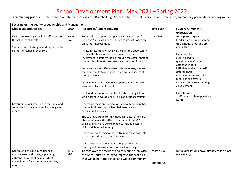| Focusing on the quality of Leadership and Management |             |                                                                                     |                   |                                                      |
|------------------------------------------------------|-------------|-------------------------------------------------------------------------------------|-------------------|------------------------------------------------------|
| <b>Objectives and Actions</b>                        | <b>LEAD</b> | <b>Resources/Actions required.</b>                                                  | <b>Time Span</b>  | Evidence, Impact &                                   |
|                                                      |             |                                                                                     |                   | expectation                                          |
| Ensure ongoing high-quality staffing across          | PWS/        | Re-introduce a system of appraisal for support staff.                               | June 2021         | <b>Anticipated impact</b>                            |
| the school at all levels.                            | Gov         | Rigorous Appraisal processes used to impact positively                              |                   | Leaders secure improvement                           |
|                                                      |             | on school improvement.                                                              |                   | throughout school and are                            |
| Staff are both challenged and supported to           |             |                                                                                     |                   | committed.                                           |
| be most effective in their role.                     |             | Invest in resources which give the staff the opportunity                            |                   |                                                      |
|                                                      |             | to have flexibility in where and when they work.                                    |                   | Evidenced by:                                        |
|                                                      |             | Investment in staff wellbeing through the establishment                             |                   | Staff wellbeing                                      |
|                                                      |             | of a whole school staffroom - 'a centre point' for staff.                           |                   | questionnaires/data                                  |
|                                                      |             |                                                                                     |                   | Attendance data                                      |
|                                                      |             | Enhance the CPD offer so that colleagues are given to                               |                   | MTP data and analysis ATL                            |
|                                                      |             | the opportunity to independently develop aspects of                                 |                   | data/analysis                                        |
|                                                      |             | their pedagogy.                                                                     |                   | Documentation from BLF                               |
|                                                      |             |                                                                                     |                   | meetings and events.<br>Details of Governor meetings |
|                                                      |             | Offer whole school leadership opportunities through<br>voluntary placements on SLT. |                   | /involvement                                         |
|                                                      |             |                                                                                     |                   |                                                      |
|                                                      |             | Explore different opportunities for staff to impact on                              |                   | Expectations:                                        |
|                                                      |             | whole school development e.g. Head of House system.                                 |                   | Staff can contribute positively<br>to BHS.           |
| Governors remain focused in their role and           |             | Governors focus on expectations and outcomes in their                               |                   |                                                      |
| committed to building their knowledge and            |             | routine business: both scheduled meetings and                                       |                   |                                                      |
| expertise.                                           |             | curriculum link roles.                                                              |                   |                                                      |
|                                                      |             | The strategic group (termly meetings) ensure they are                               |                   |                                                      |
|                                                      |             | able to influence the effective delivery of the SDP.                                |                   |                                                      |
|                                                      |             | Link governance to be expanded to include Pastoral                                  |                   |                                                      |
|                                                      |             | Links and Remote Learning.                                                          |                   |                                                      |
|                                                      |             | Governors access school-based training on key aspects                               |                   |                                                      |
|                                                      |             | of work in addition to the LA training offer.                                       |                   |                                                      |
|                                                      |             |                                                                                     |                   |                                                      |
|                                                      |             | Governors meeting scheduled adapted to include                                      |                   |                                                      |
|                                                      |             | training and discussion focus on each meeting.                                      |                   |                                                      |
| Continue to ensure sound financial                   | RBR/        | To take over the facilities and to work closely with                                | <b>March 2022</b> | Initial discussions have already taken place         |
| management and strategic planning, to                | ABA         | the LA to source funding to improve the facilities                                  |                   | with the LA.                                         |
| optimise resource allocation whilst                  |             | that will benefit the school and wider community.                                   |                   |                                                      |
| maintaining a focus on the school's key              |             |                                                                                     | Summer 21         |                                                      |
| priorities.                                          |             |                                                                                     |                   |                                                      |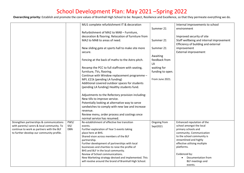|                                            |            | MU1 complete refurbishment IT & decoration             |                  | Internal improvements to school          |
|--------------------------------------------|------------|--------------------------------------------------------|------------------|------------------------------------------|
|                                            |            |                                                        | Summer 21        | environment                              |
|                                            |            | Refurbishment of MA2 to MA8 - Furniture,               |                  |                                          |
|                                            |            | decoration & flooring. Relocation of furniture from    |                  | Improved security of site                |
|                                            |            | MA2 to MA8 to areas of need.                           | Summer 21        | Staff wellbeing and internal improvement |
|                                            |            |                                                        |                  | Efficiency of building and external      |
|                                            |            | New sliding gate at sports hall to make site more      | Summer 21        | improvement                              |
|                                            |            | secure.                                                |                  | <b>External improvement</b>              |
|                                            |            |                                                        | Awaiting         |                                          |
|                                            |            | Fencing at the back of maths to the Astro pitch.       | feedback from    |                                          |
|                                            |            |                                                        | LA               |                                          |
|                                            |            | Revamp the PCC to full staffroom with seating,         | waiting for      |                                          |
|                                            |            |                                                        |                  |                                          |
|                                            |            | furniture, TVs, flooring.                              | funding to open. |                                          |
|                                            |            | Continue with Window replacement programme -           |                  |                                          |
|                                            |            | MFL £21k (pending LA funding)                          | From June 2021.  |                                          |
|                                            |            | Additional covered outdoor spaces for students         |                  |                                          |
|                                            |            | (pending LA funding) Healthy students fund.            |                  |                                          |
|                                            |            |                                                        |                  |                                          |
|                                            |            | Adjustments to the Refectory provision including:      |                  |                                          |
|                                            |            | New tills to improve service.                          |                  |                                          |
|                                            |            | Potentially looking at alternative way to serve        |                  |                                          |
|                                            |            | sandwiches to comply with new law and increase         |                  |                                          |
|                                            |            | revenue.                                               |                  |                                          |
|                                            |            | Review menu, order process and costings once           |                  |                                          |
|                                            |            | normal service has resumed.                            |                  |                                          |
| Strengthen partnerships & communications   | PWS/       | Re-establishment of effective live transition          | Ongoing from     | Enhanced reputation of the               |
| with parents/ carers & local community. To | SIS/       | events.                                                | Sept2021         | school amongst the local                 |
| continue to work as partners with the BLF  | <b>DBN</b> | Further exploration of Year 5 events taking            |                  | primary schools and                      |
| to further develop our community profile.  |            | place here at BHS.                                     |                  | community. Communication                 |
|                                            |            | Shared vison across members of the BLF                 |                  | to the school community is               |
|                                            |            | partnership.                                           |                  | streamlined and highly                   |
|                                            |            | Further development of partnerships with local         |                  | effective utilising multiple             |
|                                            |            | businesses and charities to raise the profile of       |                  | platforms.                               |
|                                            |            | BHS and BLF in the local community.                    |                  |                                          |
|                                            |            | Review of School communications.                       |                  | Evidenced by:                            |
|                                            |            | New Marketing strategy devised and implemented. This   |                  | Documentation from                       |
|                                            |            | will revolve around the brand of Bramhall High School. |                  | BLF meetings and                         |
|                                            |            |                                                        |                  | events.                                  |